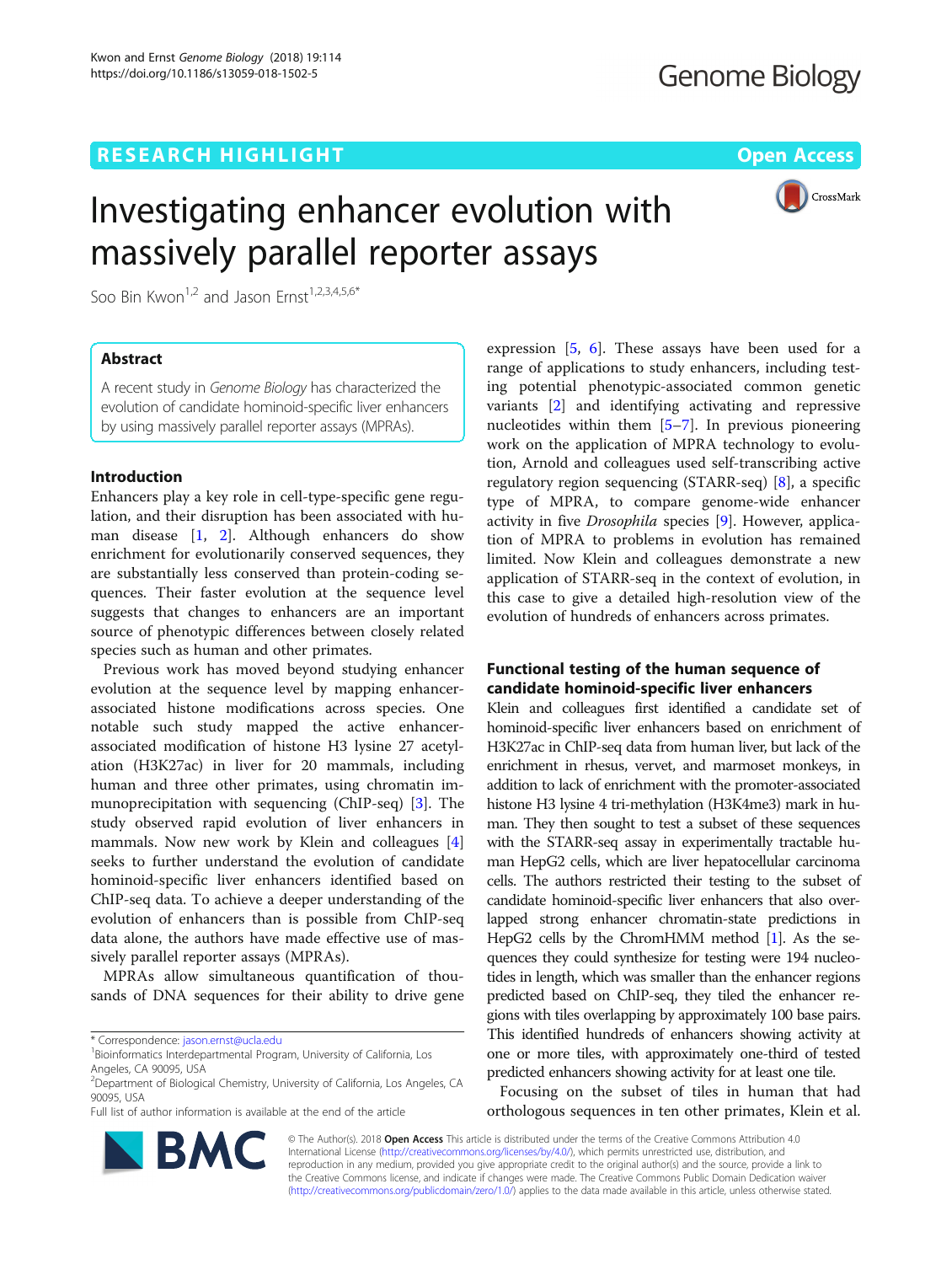# **RESEARCH HIGHLIGHT CONSUMING THE OPEN ACCESS**

CrossMark

# Investigating enhancer evolution with massively parallel reporter assays

Soo Bin Kwon<sup>1,2</sup> and Jason Ernst<sup>1,2,3,4,5,6\*</sup>

# Abstract

A recent study in Genome Biology has characterized the evolution of candidate hominoid-specific liver enhancers by using massively parallel reporter assays (MPRAs).

## Introduction

Enhancers play a key role in cell-type-specific gene regulation, and their disruption has been associated with human disease [\[1](#page-2-0), [2](#page-2-0)]. Although enhancers do show enrichment for evolutionarily conserved sequences, they are substantially less conserved than protein-coding sequences. Their faster evolution at the sequence level suggests that changes to enhancers are an important source of phenotypic differences between closely related species such as human and other primates.

Previous work has moved beyond studying enhancer evolution at the sequence level by mapping enhancerassociated histone modifications across species. One notable such study mapped the active enhancerassociated modification of histone H3 lysine 27 acetylation (H3K27ac) in liver for 20 mammals, including human and three other primates, using chromatin immunoprecipitation with sequencing (ChIP-seq) [[3\]](#page-2-0). The study observed rapid evolution of liver enhancers in mammals. Now new work by Klein and colleagues [\[4](#page-2-0)] seeks to further understand the evolution of candidate hominoid-specific liver enhancers identified based on ChIP-seq data. To achieve a deeper understanding of the evolution of enhancers than is possible from ChIP-seq data alone, the authors have made effective use of massively parallel reporter assays (MPRAs).

MPRAs allow simultaneous quantification of thousands of DNA sequences for their ability to drive gene

\* Correspondence: [jason.ernst@ucla.edu](mailto:jason.ernst@ucla.edu) <sup>1</sup>

Full list of author information is available at the end of the article

expression  $[5, 6]$  $[5, 6]$  $[5, 6]$ . These assays have been used for a range of applications to study enhancers, including testing potential phenotypic-associated common genetic variants [\[2](#page-2-0)] and identifying activating and repressive nucleotides within them [[5](#page-2-0)–[7\]](#page-2-0). In previous pioneering work on the application of MPRA technology to evolution, Arnold and colleagues used self-transcribing active regulatory region sequencing (STARR-seq) [[8\]](#page-2-0), a specific type of MPRA, to compare genome-wide enhancer activity in five Drosophila species [[9\]](#page-2-0). However, application of MPRA to problems in evolution has remained limited. Now Klein and colleagues demonstrate a new application of STARR-seq in the context of evolution, in this case to give a detailed high-resolution view of the evolution of hundreds of enhancers across primates.

# Functional testing of the human sequence of candidate hominoid-specific liver enhancers

Klein and colleagues first identified a candidate set of hominoid-specific liver enhancers based on enrichment of H3K27ac in ChIP-seq data from human liver, but lack of the enrichment in rhesus, vervet, and marmoset monkeys, in addition to lack of enrichment with the promoter-associated histone H3 lysine 4 tri-methylation (H3K4me3) mark in human. They then sought to test a subset of these sequences with the STARR-seq assay in experimentally tractable human HepG2 cells, which are liver hepatocellular carcinoma cells. The authors restricted their testing to the subset of candidate hominoid-specific liver enhancers that also overlapped strong enhancer chromatin-state predictions in HepG2 cells by the ChromHMM method [\[1\]](#page-2-0). As the sequences they could synthesize for testing were 194 nucleotides in length, which was smaller than the enhancer regions predicted based on ChIP-seq, they tiled the enhancer regions with tiles overlapping by approximately 100 base pairs. This identified hundreds of enhancers showing activity at one or more tiles, with approximately one-third of tested predicted enhancers showing activity for at least one tile.

Focusing on the subset of tiles in human that had orthologous sequences in ten other primates, Klein et al.



© The Author(s). 2018 Open Access This article is distributed under the terms of the Creative Commons Attribution 4.0 International License [\(http://creativecommons.org/licenses/by/4.0/](http://creativecommons.org/licenses/by/4.0/)), which permits unrestricted use, distribution, and reproduction in any medium, provided you give appropriate credit to the original author(s) and the source, provide a link to the Creative Commons license, and indicate if changes were made. The Creative Commons Public Domain Dedication waiver [\(http://creativecommons.org/publicdomain/zero/1.0/](http://creativecommons.org/publicdomain/zero/1.0/)) applies to the data made available in this article, unless otherwise stated.

<sup>&</sup>lt;sup>1</sup> Bioinformatics Interdepartmental Program, University of California, Los Angeles, CA 90095, USA

<sup>2</sup> Department of Biological Chemistry, University of California, Los Angeles, CA 90095, USA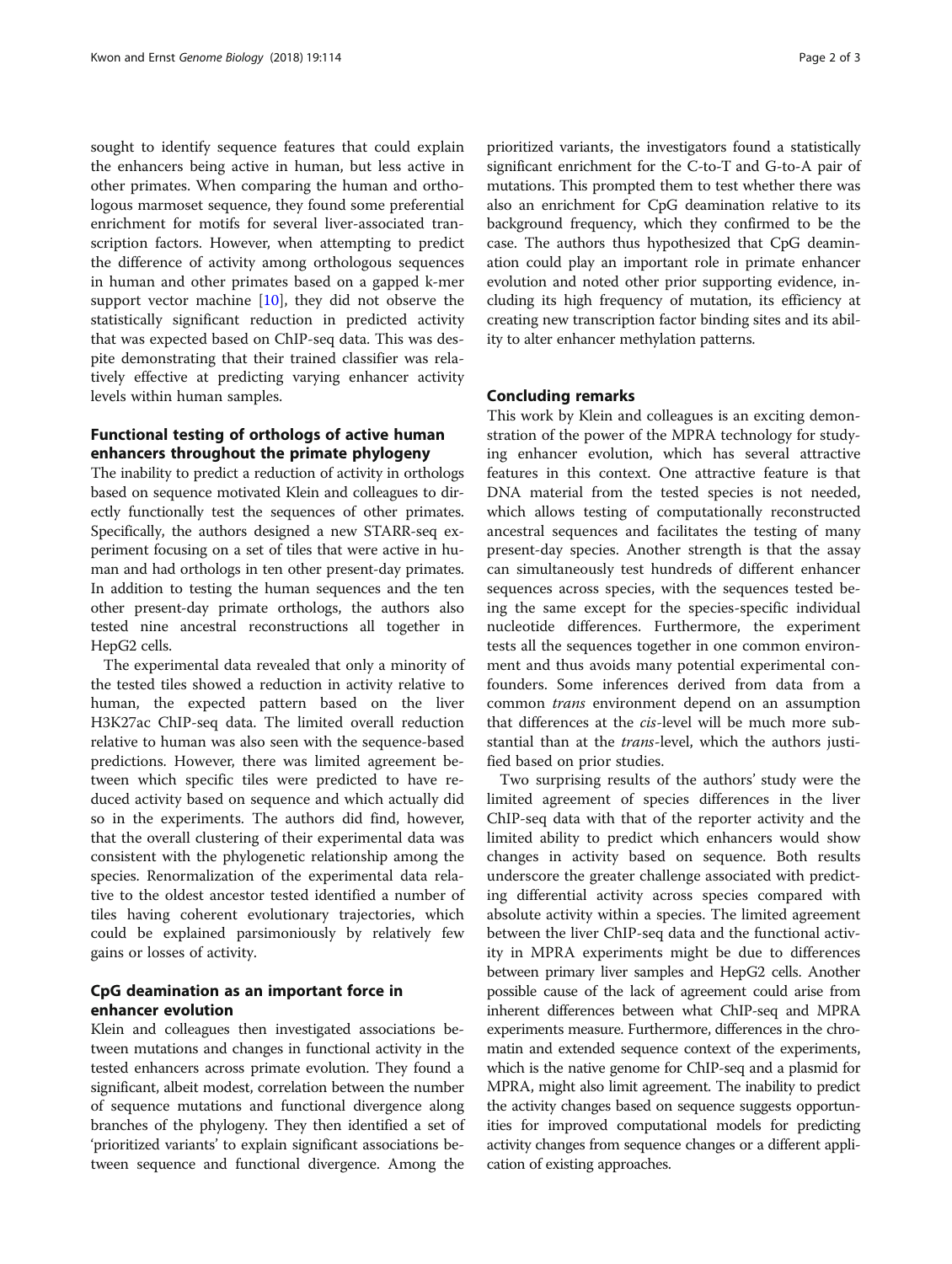sought to identify sequence features that could explain the enhancers being active in human, but less active in other primates. When comparing the human and orthologous marmoset sequence, they found some preferential enrichment for motifs for several liver-associated transcription factors. However, when attempting to predict the difference of activity among orthologous sequences in human and other primates based on a gapped k-mer support vector machine  $[10]$  $[10]$ , they did not observe the statistically significant reduction in predicted activity that was expected based on ChIP-seq data. This was despite demonstrating that their trained classifier was relatively effective at predicting varying enhancer activity levels within human samples.

# Functional testing of orthologs of active human enhancers throughout the primate phylogeny

The inability to predict a reduction of activity in orthologs based on sequence motivated Klein and colleagues to directly functionally test the sequences of other primates. Specifically, the authors designed a new STARR-seq experiment focusing on a set of tiles that were active in human and had orthologs in ten other present-day primates. In addition to testing the human sequences and the ten other present-day primate orthologs, the authors also tested nine ancestral reconstructions all together in HepG2 cells.

The experimental data revealed that only a minority of the tested tiles showed a reduction in activity relative to human, the expected pattern based on the liver H3K27ac ChIP-seq data. The limited overall reduction relative to human was also seen with the sequence-based predictions. However, there was limited agreement between which specific tiles were predicted to have reduced activity based on sequence and which actually did so in the experiments. The authors did find, however, that the overall clustering of their experimental data was consistent with the phylogenetic relationship among the species. Renormalization of the experimental data relative to the oldest ancestor tested identified a number of tiles having coherent evolutionary trajectories, which could be explained parsimoniously by relatively few gains or losses of activity.

# CpG deamination as an important force in enhancer evolution

Klein and colleagues then investigated associations between mutations and changes in functional activity in the tested enhancers across primate evolution. They found a significant, albeit modest, correlation between the number of sequence mutations and functional divergence along branches of the phylogeny. They then identified a set of 'prioritized variants' to explain significant associations between sequence and functional divergence. Among the

prioritized variants, the investigators found a statistically significant enrichment for the C-to-T and G-to-A pair of mutations. This prompted them to test whether there was also an enrichment for CpG deamination relative to its background frequency, which they confirmed to be the case. The authors thus hypothesized that CpG deamination could play an important role in primate enhancer evolution and noted other prior supporting evidence, including its high frequency of mutation, its efficiency at creating new transcription factor binding sites and its ability to alter enhancer methylation patterns.

### Concluding remarks

This work by Klein and colleagues is an exciting demonstration of the power of the MPRA technology for studying enhancer evolution, which has several attractive features in this context. One attractive feature is that DNA material from the tested species is not needed, which allows testing of computationally reconstructed ancestral sequences and facilitates the testing of many present-day species. Another strength is that the assay can simultaneously test hundreds of different enhancer sequences across species, with the sequences tested being the same except for the species-specific individual nucleotide differences. Furthermore, the experiment tests all the sequences together in one common environment and thus avoids many potential experimental confounders. Some inferences derived from data from a common trans environment depend on an assumption that differences at the cis-level will be much more substantial than at the trans-level, which the authors justified based on prior studies.

Two surprising results of the authors' study were the limited agreement of species differences in the liver ChIP-seq data with that of the reporter activity and the limited ability to predict which enhancers would show changes in activity based on sequence. Both results underscore the greater challenge associated with predicting differential activity across species compared with absolute activity within a species. The limited agreement between the liver ChIP-seq data and the functional activity in MPRA experiments might be due to differences between primary liver samples and HepG2 cells. Another possible cause of the lack of agreement could arise from inherent differences between what ChIP-seq and MPRA experiments measure. Furthermore, differences in the chromatin and extended sequence context of the experiments, which is the native genome for ChIP-seq and a plasmid for MPRA, might also limit agreement. The inability to predict the activity changes based on sequence suggests opportunities for improved computational models for predicting activity changes from sequence changes or a different application of existing approaches.